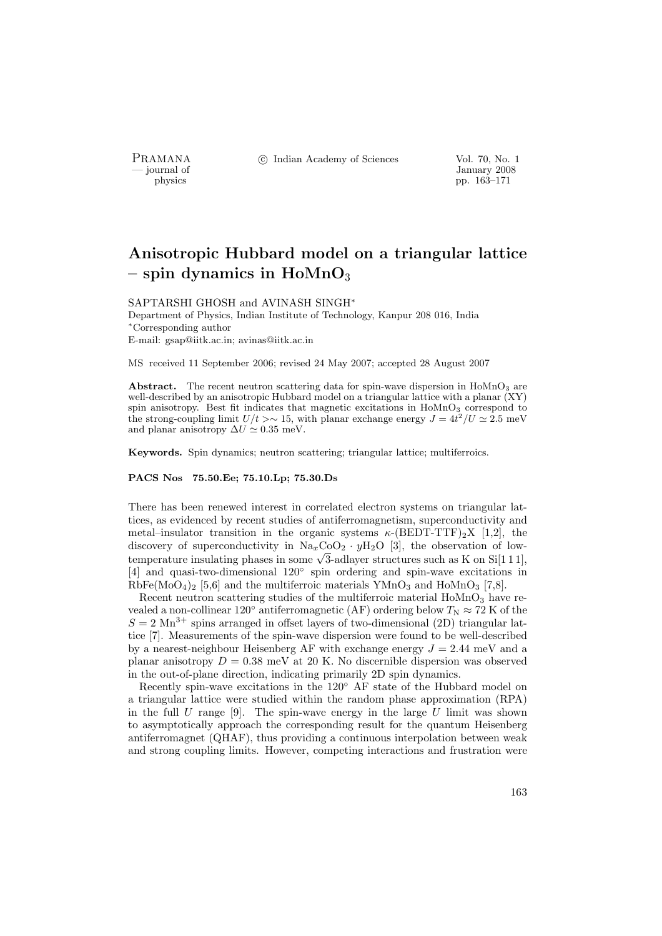PRAMANA °c Indian Academy of Sciences Vol. 70, No. 1

by January 2008<br>
physics physics physics produced by the US of the US of the US of the US of the US of the US of the US of the US of the US of the US of the US of the US of the US of the US of the US of the US of the US of physics pp. 163–171

# Anisotropic Hubbard model on a triangular lattice – spin dynamics in  $H\text{oMnO}_3$

#### SAPTARSHI GHOSH and AVINASH SINGH<sup>∗</sup>

Department of Physics, Indian Institute of Technology, Kanpur 208 016, India <sup>∗</sup>Corresponding author E-mail: gsap@iitk.ac.in; avinas@iitk.ac.in

MS received 11 September 2006; revised 24 May 2007; accepted 28 August 2007

Abstract. The recent neutron scattering data for spin-wave dispersion in  $H_0MnO_3$  are well-described by an anisotropic Hubbard model on a triangular lattice with a planar  $(XY)$ spin anisotropy. Best fit indicates that magnetic excitations in HoMnO<sub>3</sub> correspond to the strong-coupling limit  $U/t > \sim 15$ , with planar exchange energy  $J = 4t^2/U \simeq 2.5$  meV and planar anisotropy  $\Delta U \simeq 0.35$  meV.

Keywords. Spin dynamics; neutron scattering; triangular lattice; multiferroics.

## PACS Nos 75.50.Ee; 75.10.Lp; 75.30.Ds

There has been renewed interest in correlated electron systems on triangular lattices, as evidenced by recent studies of antiferromagnetism, superconductivity and metal–insulator transition in the organic systems  $\kappa$ -(BEDT-TTF)<sub>2</sub>X [1,2], the discovery of superconductivity in  $\text{Na}_{x}\text{CoO}_{2} \cdot y\text{H}_{2}\text{O}$  [3], the observation of lowdiscovery of superconductivity in  $\text{Na}_x\text{COO}_2 \cdot y\text{H}_2\text{O}$  [3], the observation of low-<br>temperature insulating phases in some  $\sqrt{3}$ -adlayer structures such as K on Si[1 1 1], [4] and quasi-two-dimensional 120◦ spin ordering and spin-wave excitations in  $RbFe(MoO<sub>4</sub>)<sub>2</sub>$  [5,6] and the multiferroic materials YMnO<sub>3</sub> and HoMnO<sub>3</sub> [7,8].

Recent neutron scattering studies of the multiferroic material  $H\text{oMnO}_3$  have revealed a non-collinear 120° antiferromagnetic (AF) ordering below  $T_{\rm N} \approx 72$  K of the  $S = 2 \text{ Mn}^{3+}$  spins arranged in offset layers of two-dimensional (2D) triangular lattice [7]. Measurements of the spin-wave dispersion were found to be well-described by a nearest-neighbour Heisenberg AF with exchange energy  $J = 2.44$  meV and a planar anisotropy  $D = 0.38$  meV at 20 K. No discernible dispersion was observed in the out-of-plane direction, indicating primarily 2D spin dynamics.

Recently spin-wave excitations in the 120◦ AF state of the Hubbard model on a triangular lattice were studied within the random phase approximation (RPA) in the full U range  $[9]$ . The spin-wave energy in the large U limit was shown to asymptotically approach the corresponding result for the quantum Heisenberg antiferromagnet (QHAF), thus providing a continuous interpolation between weak and strong coupling limits. However, competing interactions and frustration were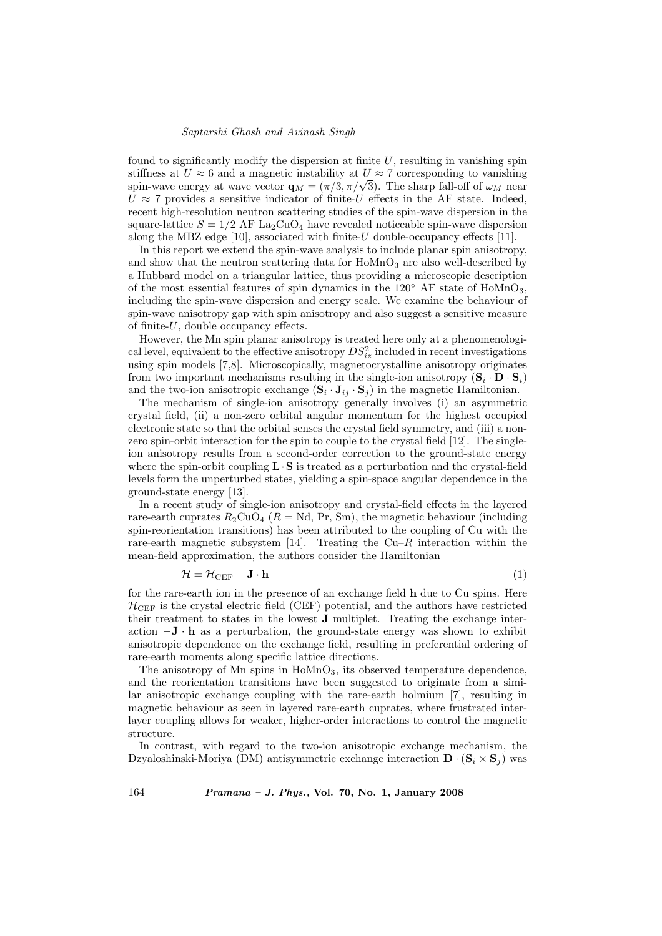#### Saptarshi Ghosh and Avinash Singh

found to significantly modify the dispersion at finite  $U$ , resulting in vanishing spin stiffness at  $U \approx 6$  and a magnetic instability at  $U \approx 7$  corresponding to vanishing stiffness at  $U \approx 6$  and a magnetic instability at  $U \approx 7$  corresponding to vanishing spin-wave energy at wave vector  $\mathbf{q}_M = (\pi/3, \pi/\sqrt{3})$ . The sharp fall-off of  $\omega_M$  near  $U \approx 7$  provides a sensitive indicator of finite-U effects in the AF state. Indeed, recent high-resolution neutron scattering studies of the spin-wave dispersion in the square-lattice  $S = 1/2$  AF La<sub>2</sub>CuO<sub>4</sub> have revealed noticeable spin-wave dispersion along the MBZ edge [10], associated with finite- $U$  double-occupancy effects [11].

In this report we extend the spin-wave analysis to include planar spin anisotropy, and show that the neutron scattering data for  $H\text{o}MnO_3$  are also well-described by a Hubbard model on a triangular lattice, thus providing a microscopic description of the most essential features of spin dynamics in the  $120°$  AF state of HoMnO<sub>3</sub>, including the spin-wave dispersion and energy scale. We examine the behaviour of spin-wave anisotropy gap with spin anisotropy and also suggest a sensitive measure of finite-U, double occupancy effects.

However, the Mn spin planar anisotropy is treated here only at a phenomenological level, equivalent to the effective anisotropy  $DS_{iz}^2$  included in recent investigations using spin models [7,8]. Microscopically, magnetocrystalline anisotropy originates from two important mechanisms resulting in the single-ion anisotropy  $(\mathbf{S}_i \cdot \mathbf{D} \cdot \mathbf{S}_i)$ and the two-ion anisotropic exchange  $(\mathbf{S}_i \cdot \mathbf{J}_{ij} \cdot \mathbf{S}_j)$  in the magnetic Hamiltonian.

The mechanism of single-ion anisotropy generally involves (i) an asymmetric crystal field, (ii) a non-zero orbital angular momentum for the highest occupied electronic state so that the orbital senses the crystal field symmetry, and (iii) a nonzero spin-orbit interaction for the spin to couple to the crystal field [12]. The singleion anisotropy results from a second-order correction to the ground-state energy where the spin-orbit coupling  $\mathbf{L} \cdot \mathbf{S}$  is treated as a perturbation and the crystal-field levels form the unperturbed states, yielding a spin-space angular dependence in the ground-state energy [13].

In a recent study of single-ion anisotropy and crystal-field effects in the layered rare-earth cuprates  $R_2$ CuO<sub>4</sub> ( $R = Nd$ , Pr, Sm), the magnetic behaviour (including spin-reorientation transitions) has been attributed to the coupling of Cu with the rare-earth magnetic subsystem [14]. Treating the  $Cu-R$  interaction within the mean-field approximation, the authors consider the Hamiltonian

$$
\mathcal{H} = \mathcal{H}_{\text{CEF}} - \mathbf{J} \cdot \mathbf{h} \tag{1}
$$

for the rare-earth ion in the presence of an exchange field h due to Cu spins. Here  $H_{\text{CEF}}$  is the crystal electric field (CEF) potential, and the authors have restricted their treatment to states in the lowest J multiplet. Treating the exchange interaction  $-\mathbf{J} \cdot \mathbf{h}$  as a perturbation, the ground-state energy was shown to exhibit anisotropic dependence on the exchange field, resulting in preferential ordering of rare-earth moments along specific lattice directions.

The anisotropy of Mn spins in  $Hom_{93}$ , its observed temperature dependence, and the reorientation transitions have been suggested to originate from a similar anisotropic exchange coupling with the rare-earth holmium [7], resulting in magnetic behaviour as seen in layered rare-earth cuprates, where frustrated interlayer coupling allows for weaker, higher-order interactions to control the magnetic structure.

In contrast, with regard to the two-ion anisotropic exchange mechanism, the Dzyaloshinski-Moriya (DM) antisymmetric exchange interaction  $\mathbf{D} \cdot (\mathbf{S}_i \times \mathbf{S}_j)$  was

164 Pramana – J. Phys., Vol. 70, No. 1, January 2008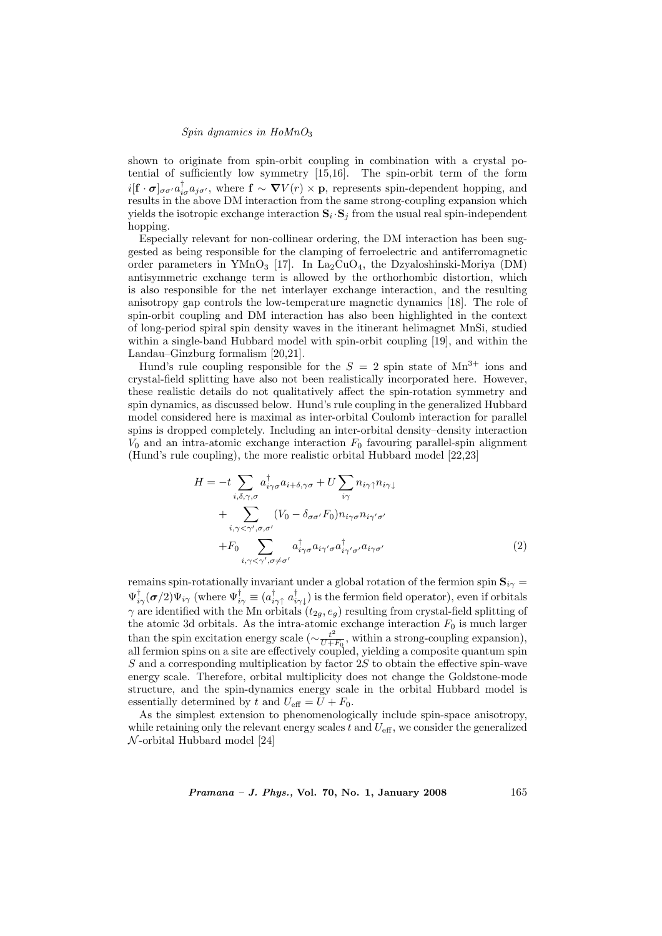## Spin dynamics in  $H\omega MnO<sub>3</sub>$

shown to originate from spin-orbit coupling in combination with a crystal potential of sufficiently low symmetry [15,16]. The spin-orbit term of the form  $i[\mathbf{f} \cdot \boldsymbol{\sigma}]_{\sigma\sigma'} a_{i\sigma}^{\dagger} a_{j\sigma'}$ , where  $\mathbf{f} \sim \boldsymbol{\nabla}V(r) \times \mathbf{p}$ , represents spin-dependent hopping, and results in the above DM interaction from the same strong-coupling expansion which yields the isotropic exchange interaction  $S_i \cdot S_j$  from the usual real spin-independent hopping.

Especially relevant for non-collinear ordering, the DM interaction has been suggested as being responsible for the clamping of ferroelectric and antiferromagnetic order parameters in YMnO<sub>3</sub> [17]. In La<sub>2</sub>CuO<sub>4</sub>, the Dzyaloshinski-Moriya (DM) antisymmetric exchange term is allowed by the orthorhombic distortion, which is also responsible for the net interlayer exchange interaction, and the resulting anisotropy gap controls the low-temperature magnetic dynamics [18]. The role of spin-orbit coupling and DM interaction has also been highlighted in the context of long-period spiral spin density waves in the itinerant helimagnet MnSi, studied within a single-band Hubbard model with spin-orbit coupling [19], and within the Landau–Ginzburg formalism [20,21].

Hund's rule coupling responsible for the  $S = 2$  spin state of  $Mn^{3+}$  ions and crystal-field splitting have also not been realistically incorporated here. However, these realistic details do not qualitatively affect the spin-rotation symmetry and spin dynamics, as discussed below. Hund's rule coupling in the generalized Hubbard model considered here is maximal as inter-orbital Coulomb interaction for parallel spins is dropped completely. Including an inter-orbital density–density interaction  $V_0$  and an intra-atomic exchange interaction  $F_0$  favouring parallel-spin alignment (Hund's rule coupling), the more realistic orbital Hubbard model [22,23]

$$
H = -t \sum_{i,\delta,\gamma,\sigma} a^{\dagger}_{i\gamma\sigma} a_{i+\delta,\gamma\sigma} + U \sum_{i\gamma} n_{i\gamma\uparrow} n_{i\gamma\downarrow}
$$
  
+ 
$$
\sum_{i,\gamma < \gamma',\sigma,\sigma'} (V_0 - \delta_{\sigma\sigma'} F_0) n_{i\gamma\sigma} n_{i\gamma'\sigma'}
$$
  
+ 
$$
F_0 \sum_{i,\gamma < \gamma',\sigma \neq \sigma'} a^{\dagger}_{i\gamma\sigma} a_{i\gamma'\sigma} a^{\dagger}_{i\gamma'\sigma'} a_{i\gamma\sigma'} \tag{2}
$$

remains spin-rotationally invariant under a global rotation of the fermion spin  $S_{i\gamma}$  =  $\Psi^\dagger_{i\gamma}(\boldsymbol{\sigma}/2)\Psi_{i\gamma}$  (where  $\Psi^\dagger_{i\gamma}\equiv(a_{i\gamma\uparrow}^\dagger\;a_{i\gamma\downarrow}^\dagger)$  is the fermion field operator), even if orbitals  $\gamma$  are identified with the Mn orbitals  $(t_{2g}, e_g)$  resulting from crystal-field splitting of the atomic 3d orbitals. As the intra-atomic exchange interaction  $F_0$  is much larger than the spin excitation energy scale ( $\sim \frac{t^2}{U + 1}$  $\frac{t^2}{U+F_0}$ , within a strong-coupling expansion), all fermion spins on a site are effectively coupled, yielding a composite quantum spin  $S$  and a corresponding multiplication by factor 2S to obtain the effective spin-wave energy scale. Therefore, orbital multiplicity does not change the Goldstone-mode structure, and the spin-dynamics energy scale in the orbital Hubbard model is essentially determined by t and  $U_{\text{eff}} = U + F_0$ .

As the simplest extension to phenomenologically include spin-space anisotropy, while retaining only the relevant energy scales t and  $U_{\text{eff}}$ , we consider the generalized  $\mathcal N$ -orbital Hubbard model [24]

*Pramana – J. Phys.*, Vol. 70, No. 1, January 2008 165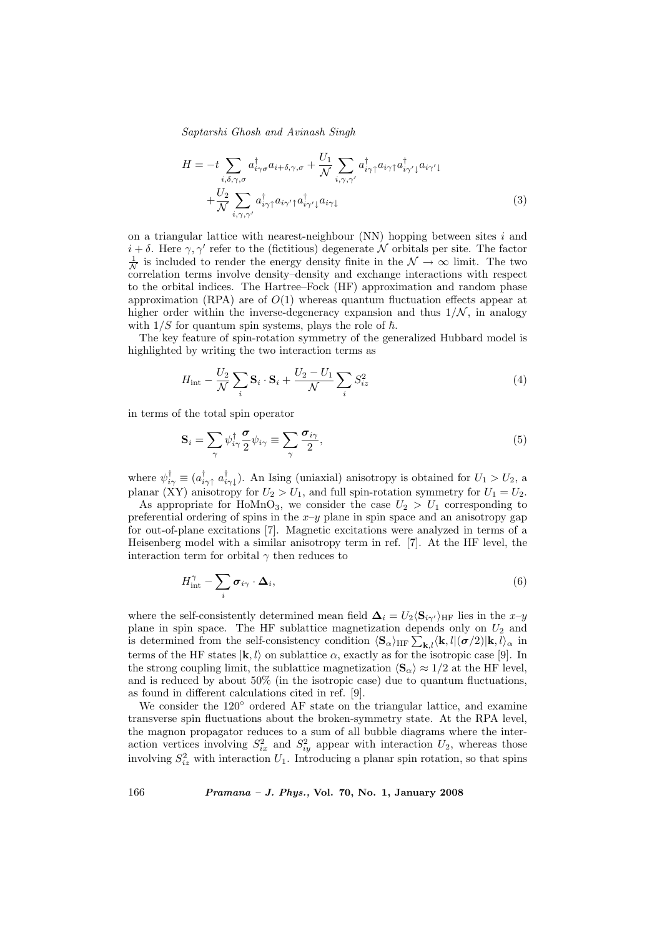Saptarshi Ghosh and Avinash Singh

$$
H = -t \sum_{i,\delta,\gamma,\sigma} a^{\dagger}_{i\gamma\sigma} a_{i+\delta,\gamma,\sigma} + \frac{U_1}{\mathcal{N}} \sum_{i,\gamma,\gamma'} a^{\dagger}_{i\gamma\uparrow} a_{i\gamma\uparrow} a^{\dagger}_{i\gamma'\downarrow} a_{i\gamma'\downarrow} + \frac{U_2}{\mathcal{N}} \sum_{i,\gamma,\gamma'} a^{\dagger}_{i\gamma\uparrow} a_{i\gamma'\uparrow} a^{\dagger}_{i\gamma'\downarrow} a_{i\gamma\downarrow}
$$
\n(3)

on a triangular lattice with nearest-neighbour  $(NN)$  hopping between sites i and  $i + \delta$ . Here  $\gamma, \gamma'$  refer to the (fictitious) degenerate N orbitals per site. The factor  $\frac{1}{N}$  is included to render the energy density finite in the  $\mathcal{N} \to \infty$  limit. The two correlation terms involve density–density and exchange interactions with respect to the orbital indices. The Hartree–Fock (HF) approximation and random phase approximation (RPA) are of  $O(1)$  whereas quantum fluctuation effects appear at higher order within the inverse-degeneracy expansion and thus  $1/N$ , in analogy with  $1/S$  for quantum spin systems, plays the role of  $\hbar$ .

The key feature of spin-rotation symmetry of the generalized Hubbard model is highlighted by writing the two interaction terms as

$$
H_{\rm int} - \frac{U_2}{\mathcal{N}} \sum_i \mathbf{S}_i \cdot \mathbf{S}_i + \frac{U_2 - U_1}{\mathcal{N}} \sum_i S_{iz}^2 \tag{4}
$$

in terms of the total spin operator

$$
\mathbf{S}_{i} = \sum_{\gamma} \psi_{i\gamma}^{\dagger} \frac{\boldsymbol{\sigma}}{2} \psi_{i\gamma} \equiv \sum_{\gamma} \frac{\boldsymbol{\sigma}_{i\gamma}}{2},\tag{5}
$$

where  $\psi_{i\gamma}^{\dagger} \equiv (a_{i\gamma\uparrow}^{\dagger} a_{i\gamma\downarrow}^{\dagger})$ . An Ising (uniaxial) anisotropy is obtained for  $U_1 > U_2$ , a planar (XY) anisotropy for  $U_2 > U_1$ , and full spin-rotation symmetry for  $U_1 = U_2$ .

As appropriate for HoMnO<sub>3</sub>, we consider the case  $U_2 > U_1$  corresponding to preferential ordering of spins in the  $x-y$  plane in spin space and an anisotropy gap for out-of-plane excitations [7]. Magnetic excitations were analyzed in terms of a Heisenberg model with a similar anisotropy term in ref. [7]. At the HF level, the interaction term for orbital  $\gamma$  then reduces to

$$
H_{\text{int}}^{\gamma} - \sum_{i} \boldsymbol{\sigma}_{i\gamma} \cdot \boldsymbol{\Delta}_{i}, \tag{6}
$$

where the self-consistently determined mean field  $\mathbf{\Delta}_i = U_2 \langle \mathbf{S}_{i\gamma'} \rangle_{\text{HF}}$  lies in the  $x-y$ plane in spin space. The HF sublattice magnetization depends only on  $U_2$  and plane in spin space. The HF sublattice magnetization depends only on  $U_2$  and<br>is determined from the self-consistency condition  $\langle S_{\alpha} \rangle_{HF} \sum_{\mathbf{k},l} \langle \mathbf{k}, l | (\boldsymbol{\sigma}/2) | \mathbf{k}, l \rangle_{\alpha}$  in terms of the HF states  $|k, l\rangle$  on sublattice  $\alpha$ , exactly as for the isotropic case [9]. In the strong coupling limit, the sublattice magnetization  $\langle S_{\alpha} \rangle \approx 1/2$  at the HF level, and is reduced by about 50% (in the isotropic case) due to quantum fluctuations, as found in different calculations cited in ref. [9].

We consider the 120◦ ordered AF state on the triangular lattice, and examine transverse spin fluctuations about the broken-symmetry state. At the RPA level, the magnon propagator reduces to a sum of all bubble diagrams where the interaction vertices involving  $S_{ix}^2$  and  $S_{iy}^2$  appear with interaction  $U_2$ , whereas those involving  $S_{iz}^2$  with interaction  $U_1$ . Introducing a planar spin rotation, so that spins

166 Pramana – J. Phys., Vol. 70, No. 1, January 2008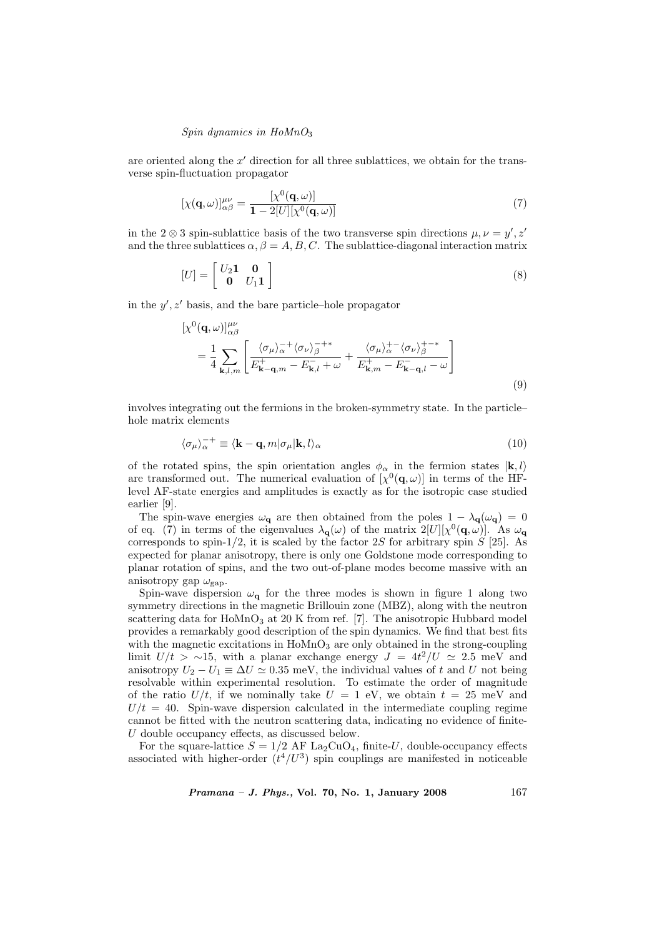#### Spin dynamics in  $H\omega_3$

are oriented along the  $x'$  direction for all three sublattices, we obtain for the transverse spin-fluctuation propagator

$$
[\chi(\mathbf{q},\omega)]^{\mu\nu}_{\alpha\beta} = \frac{[\chi^0(\mathbf{q},\omega)]}{1 - 2[U][\chi^0(\mathbf{q},\omega)]}
$$
\n(7)

in the 2  $\otimes$  3 spin-sublattice basis of the two transverse spin directions  $\mu, \nu = y', z'$ and the three sublattices  $\alpha, \beta = A, B, C$ . The sublattice-diagonal interaction matrix

$$
[U] = \begin{bmatrix} U_2 \mathbf{1} & \mathbf{0} \\ \mathbf{0} & U_1 \mathbf{1} \end{bmatrix} \tag{8}
$$

in the  $y'$ ,  $z'$  basis, and the bare particle–hole propagator

$$
\begin{split} \left[\chi^{0}(\mathbf{q},\omega)\right]_{\alpha\beta}^{\mu\nu} \\ &= \frac{1}{4} \sum_{\mathbf{k},l,m} \left[ \frac{\langle \sigma_{\mu} \rangle_{\alpha}^{-+} \langle \sigma_{\nu} \rangle_{\beta}^{-+*}}{E_{\mathbf{k}-\mathbf{q},m}^{+} - E_{\mathbf{k},l}^{-} + \omega} + \frac{\langle \sigma_{\mu} \rangle_{\alpha}^{+-} \langle \sigma_{\nu} \rangle_{\beta}^{+-*}}{E_{\mathbf{k},m}^{+} - E_{\mathbf{k}-\mathbf{q},l}^{-} - \omega} \right] \end{split} \tag{9}
$$

involves integrating out the fermions in the broken-symmetry state. In the particle– hole matrix elements

$$
\langle \sigma_{\mu} \rangle_{\alpha}^{-+} \equiv \langle \mathbf{k} - \mathbf{q}, m | \sigma_{\mu} | \mathbf{k}, l \rangle_{\alpha} \tag{10}
$$

of the rotated spins, the spin orientation angles  $\phi_{\alpha}$  in the fermion states  $|\mathbf{k}, l\rangle$ are transformed out. The numerical evaluation of  $[\chi^0(\mathbf{q}, \omega)]$  in terms of the HFlevel AF-state energies and amplitudes is exactly as for the isotropic case studied earlier [9].

The spin-wave energies  $\omega_{q}$  are then obtained from the poles  $1 - \lambda_{q}(\omega_{q}) = 0$ of eq. (7) in terms of the eigenvalues  $\lambda_{\mathbf{q}}(\omega)$  of the matrix  $2[U][\chi^0(\mathbf{q},\omega)]$ . As  $\omega_{\mathbf{q}}$ corresponds to spin-1/2, it is scaled by the factor  $2S$  for arbitrary spin  $S$  [25]. As expected for planar anisotropy, there is only one Goldstone mode corresponding to planar rotation of spins, and the two out-of-plane modes become massive with an anisotropy gap  $\omega_{\rm gap}$ .

Spin-wave dispersion  $\omega_{q}$  for the three modes is shown in figure 1 along two symmetry directions in the magnetic Brillouin zone (MBZ), along with the neutron scattering data for  $H_0MnO_3$  at 20 K from ref. [7]. The anisotropic Hubbard model provides a remarkably good description of the spin dynamics. We find that best fits with the magnetic excitations in  $H\text{oMnO}_3$  are only obtained in the strong-coupling limit  $U/t > \sim 15$ , with a planar exchange energy  $J = 4t^2/U \approx 2.5$  meV and anisotropy  $U_2 - U_1 \equiv \Delta U \simeq 0.35$  meV, the individual values of t and U not being resolvable within experimental resolution. To estimate the order of magnitude of the ratio  $U/t$ , if we nominally take  $U = 1$  eV, we obtain  $t = 25$  meV and  $U/t = 40$ . Spin-wave dispersion calculated in the intermediate coupling regime cannot be fitted with the neutron scattering data, indicating no evidence of finite-U double occupancy effects, as discussed below.

For the square-lattice  $S = 1/2$  AF La<sub>2</sub>CuO<sub>4</sub>, finite-U, double-occupancy effects associated with higher-order  $(t^4/U^3)$  spin couplings are manifested in noticeable

*Pramana – J. Phys.*, Vol. 70, No. 1, January 2008  $167$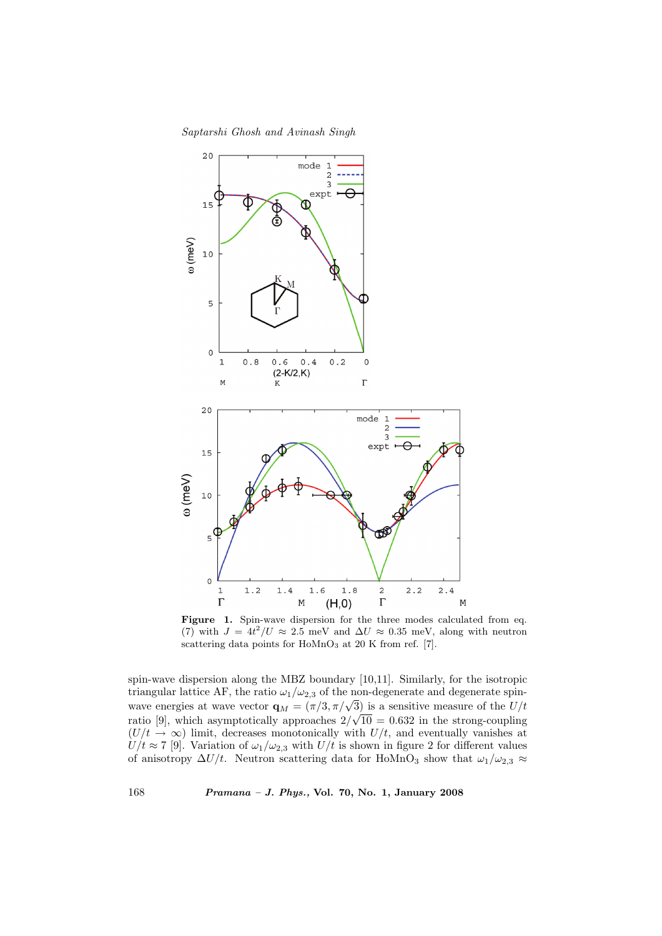## Saptarshi Ghosh and Avinash Singh



Figure 1. Spin-wave dispersion for the three modes calculated from eq. (7) with  $J = 4t^2/U \approx 2.5$  meV and  $\Delta U \approx 0.35$  meV, along with neutron scattering data points for  $Hom_{3}$  at 20 K from ref. [7].

spin-wave dispersion along the MBZ boundary [10,11]. Similarly, for the isotropic triangular lattice AF, the ratio  $\omega_1/\omega_{2,3}$  of the non-degenerate and degenerate spinwave energies at wave vector  $\mathbf{q}_M = (\pi/3, \pi/\sqrt{3})$  is a sensitive measure of the  $U/t$ ratio [9], which asymptotically approaches  $2/\sqrt{10} = 0.632$  in the strong-coupling  $(U/t \rightarrow \infty)$  limit, decreases monotonically with  $U/t$ , and eventually vanishes at  $U/t \approx 7$  [9]. Variation of  $\omega_1/\omega_{2,3}$  with  $U/t$  is shown in figure 2 for different values of anisotropy  $\Delta U/t$ . Neutron scattering data for HoMnO<sub>3</sub> show that  $\omega_1/\omega_{2,3} \approx$ 

168 Pramana – J. Phys., Vol. 70, No. 1, January 2008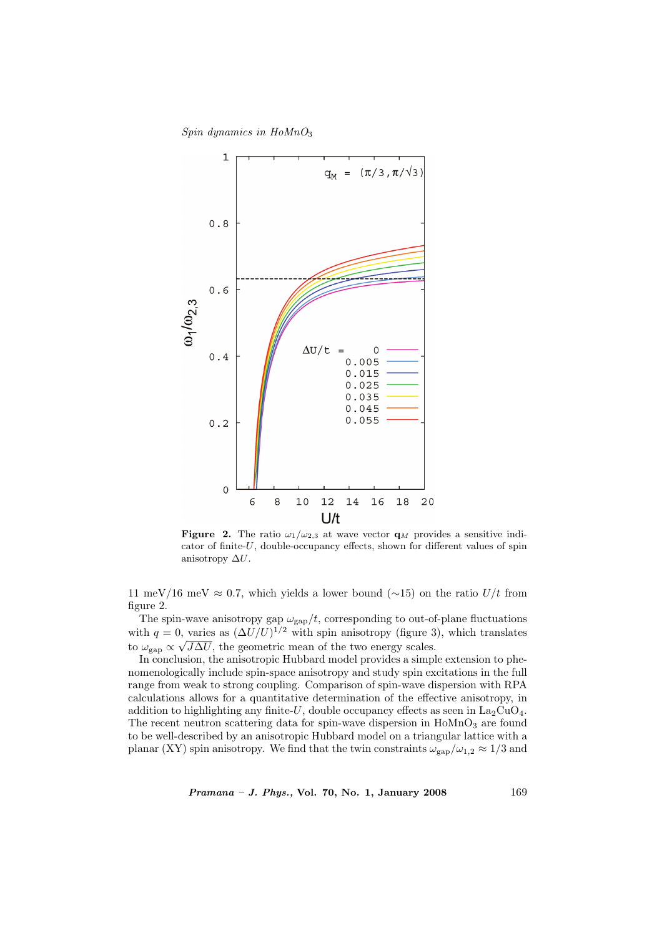Spin dynamics in  $H\omega MnO<sub>3</sub>$ 



**Figure 2.** The ratio  $\omega_1/\omega_{2,3}$  at wave vector  $\mathbf{q}_M$  provides a sensitive indicator of finite-U, double-occupancy effects, shown for different values of spin anisotropy  $\Delta U$ .

11 meV/16 meV  $\approx 0.7$ , which yields a lower bound (∼15) on the ratio U/t from figure 2.

The spin-wave anisotropy gap  $\omega_{\rm gap}/t$ , corresponding to out-of-plane fluctuations with  $q = 0$ , varies as  $(\Delta U/U)^{1/2}$  with spin anisotropy (figure 3), which translates to  $\omega_{\rm gap} \propto \sqrt{J\Delta U}$ , the geometric mean of the two energy scales.

In conclusion, the anisotropic Hubbard model provides a simple extension to phenomenologically include spin-space anisotropy and study spin excitations in the full range from weak to strong coupling. Comparison of spin-wave dispersion with RPA calculations allows for a quantitative determination of the effective anisotropy, in addition to highlighting any finite-U, double occupancy effects as seen in  $La_2CuO_4$ . The recent neutron scattering data for spin-wave dispersion in  $H \text{o} M nO_3$  are found to be well-described by an anisotropic Hubbard model on a triangular lattice with a planar (XY) spin anisotropy. We find that the twin constraints  $\omega_{\rm gap}/\omega_{1,2} \approx 1/3$  and

Pramana – J. Phys., Vol. 70, No. 1, January 2008 169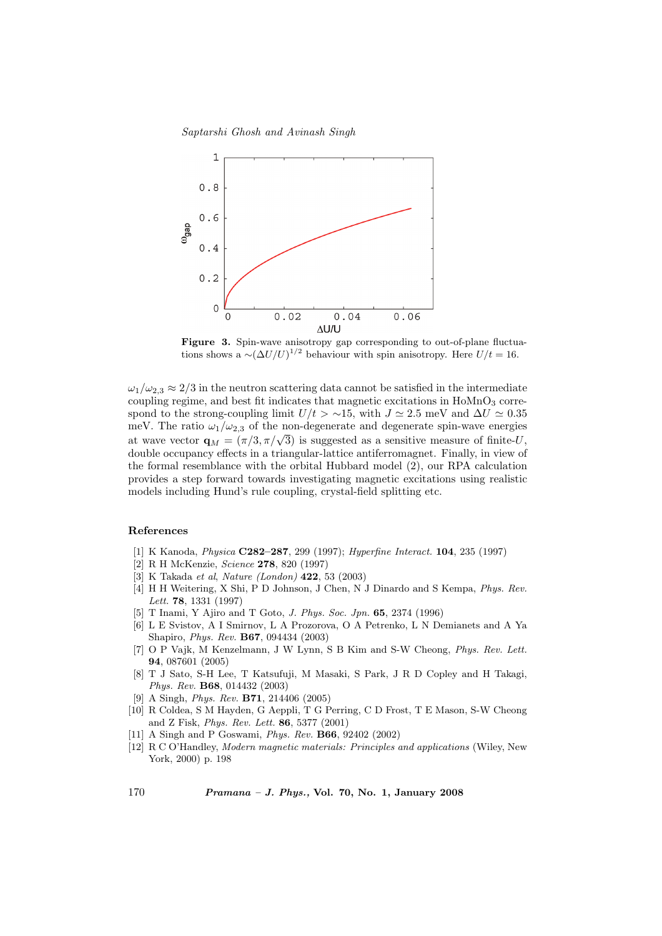Saptarshi Ghosh and Avinash Singh



Figure 3. Spin-wave anisotropy gap corresponding to out-of-plane fluctuations shows a  $\sim (\Delta U/U)^{1/2}$  behaviour with spin anisotropy. Here  $U/t = 16$ .

 $\omega_1/\omega_{2,3} \approx 2/3$  in the neutron scattering data cannot be satisfied in the intermediate coupling regime, and best fit indicates that magnetic excitations in  $H\text{oMnO}_3$  correspond to the strong-coupling limit  $U/t > \sim 15$ , with  $J \approx 2.5$  meV and  $\Delta U \approx 0.35$ meV. The ratio  $\omega_1/\omega_{2,3}$  of the non-degenerate and degenerate spin-wave energies mev. The ratio  $\omega_1/\omega_{2,3}$  of the non-degenerate and degenerate spin-wave energies at wave vector  $\mathbf{q}_M = (\pi/3, \pi/\sqrt{3})$  is suggested as a sensitive measure of finite-U, double occupancy effects in a triangular-lattice antiferromagnet. Finally, in view of the formal resemblance with the orbital Hubbard model (2), our RPA calculation provides a step forward towards investigating magnetic excitations using realistic models including Hund's rule coupling, crystal-field splitting etc.

### References

- [1] K Kanoda, Physica C282–287, 299 (1997); Hyperfine Interact. 104, 235 (1997)
- [2] R H McKenzie, Science 278, 820 (1997)
- [3] K Takada et al, Nature (London) 422, 53 (2003)
- [4] H H Weitering, X Shi, P D Johnson, J Chen, N J Dinardo and S Kempa, Phys. Rev. Lett. 78, 1331 (1997)
- [5] T Inami, Y Ajiro and T Goto, J. Phys. Soc. Jpn. 65, 2374 (1996)
- [6] L E Svistov, A I Smirnov, L A Prozorova, O A Petrenko, L N Demianets and A Ya Shapiro, Phys. Rev. B67, 094434 (2003)
- [7] O P Vajk, M Kenzelmann, J W Lynn, S B Kim and S-W Cheong, Phys. Rev. Lett. 94, 087601 (2005)
- [8] T J Sato, S-H Lee, T Katsufuji, M Masaki, S Park, J R D Copley and H Takagi, Phys. Rev. B68, 014432 (2003)
- [9] A Singh, Phys. Rev. B71, 214406 (2005)
- [10] R Coldea, S M Hayden, G Aeppli, T G Perring, C D Frost, T E Mason, S-W Cheong and Z Fisk, Phys. Rev. Lett. 86, 5377 (2001)
- [11] A Singh and P Goswami, Phys. Rev. B66, 92402 (2002)
- [12] R C O'Handley, Modern magnetic materials: Principles and applications (Wiley, New York, 2000) p. 198